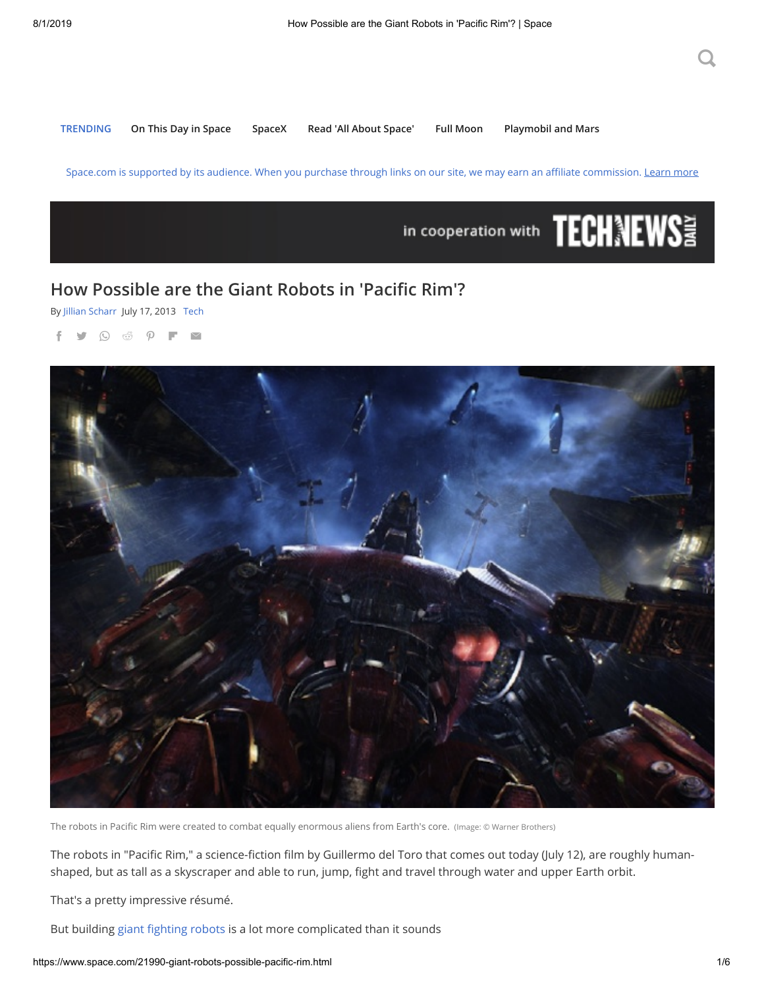**TRENDING [On This Day in Space](https://www.space.com/39251-on-this-day-in-space.html) [SpaceX](https://www.space.com/topics/spacex) [Read 'All About Space'](https://www.space.com/43203-all-about-space-free-issue.html) [Full Moon](https://www.space.com/16830-full-moon-calendar.html) [Playmobil and Mars](https://www.space.com/playmobil-playsets-harness-excitement-for-space.html)**

Space.com is supported by its audience. When you purchase through links on our site, we may earn an affiliate commission. [Learn more](https://www.futureplc.com/terms-conditions/)



## **How Possible are the Giant Robots in 'Pacic Rim'?**

By [Jillian Scharr](https://www.space.com/author/jillian-scharr) July 17, 2013 [Tech](https://www.space.com/tech-robots)

f y Q & P F M



The robots in Pacific Rim were created to combat equally enormous aliens from Earth's core. (Image: © Warner Brothers)

The robots in "Pacific Rim," a science-fiction film by Guillermo del Toro that comes out today (July 12), are roughly humanshaped, but as tall as a skyscraper and able to run, jump, fight and travel through water and upper Earth orbit.

That's a pretty impressive résumé.

But building giant fighting robots is a lot more complicated than it sounds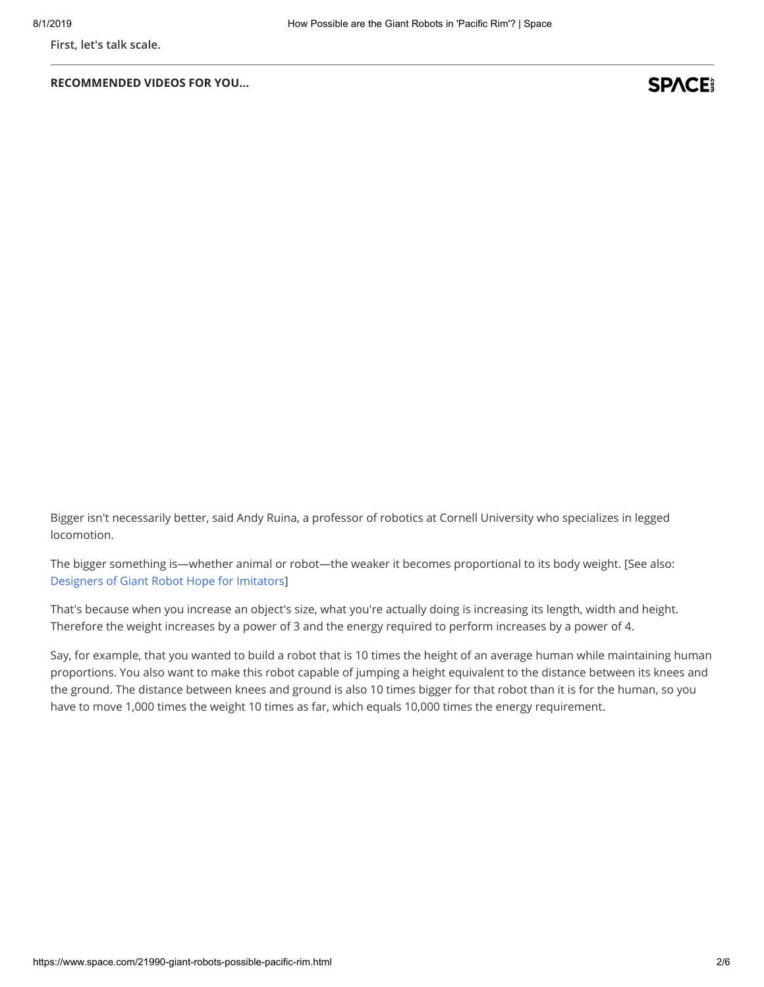**First, let's talk scale.**

**RECOMMENDED VIDEOS FOR YOU...**

## **SPACE**

Bigger isn't necessarily better, said Andy Ruina, a professor of robotics at Cornell University who specializes in legged locomotion.

The bigger something is—whether animal or robot—the weaker it becomes proportional to its body weight. [See also: [Designers of Giant Robot Hope for Imitators](http://www.technewsdaily.com/6094-designers-of-giant-robot-hope-for-imitators.html)]

That's because when you increase an object's size, what you're actually doing is increasing its length, width and height. Therefore the weight increases by a power of 3 and the energy required to perform increases by a power of 4.

Say, for example, that you wanted to build a robot that is 10 times the height of an average human while maintaining human proportions. You also want to make this robot capable of jumping a height equivalent to the distance between its knees and the ground. The distance between knees and ground is also 10 times bigger for that robot than it is for the human, so you have to move 1,000 times the weight 10 times as far, which equals 10,000 times the energy requirement.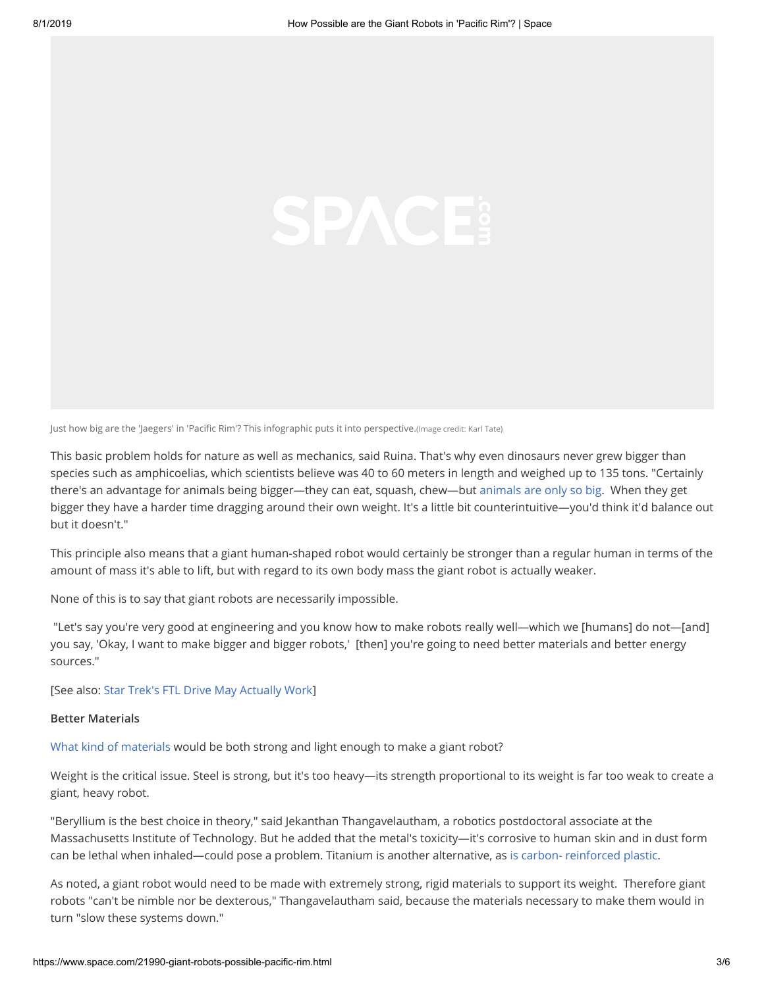Just how big are the 'Jaegers' in 'Pacific Rim'? This infographic puts it into perspective.(Image credit: Karl Tate)

This basic problem holds for nature as well as mechanics, said Ruina. That's why even dinosaurs never grew bigger than species such as amphicoelias, which scientists believe was 40 to 60 meters in length and weighed up to 135 tons. "Certainly there's an advantage for animals being bigger—they can eat, squash, chew—but [animals are only so big](http://www.technewsdaily.com/17279-deep-sea-tech-unveils-giant-squid.html). When they get bigger they have a harder time dragging around their own weight. It's a little bit counterintuitive—you'd think it'd balance out but it doesn't."

This principle also means that a giant human-shaped robot would certainly be stronger than a regular human in terms of the amount of mass it's able to lift, but with regard to its own body mass the giant robot is actually weaker.

None of this is to say that giant robots are necessarily impossible.

 "Let's say you're very good at engineering and you know how to make robots really well—which we [humans] do not—[and] you say, 'Okay, I want to make bigger and bigger robots,' [then] you're going to need better materials and better energy sources."

[See also: [Star Trek's FTL Drive May Actually Work](http://www.technewsdaily.com/18051-star-trek-warp-drive-possible.html)]

#### **Better Materials**

[What kind of materials](http://www.technewsdaily.com/5056-future-building-materials.html) would be both strong and light enough to make a giant robot?

Weight is the critical issue. Steel is strong, but it's too heavy—its strength proportional to its weight is far too weak to create a giant, heavy robot.

"Beryllium is the best choice in theory," said Jekanthan Thangavelautham, a robotics postdoctoral associate at the Massachusetts Institute of Technology. But he added that the metal's toxicity—it's corrosive to human skin and in dust form can be lethal when inhaled—could pose a problem. Titanium is another alternative, as [is carbon- reinforced plastic](http://www.technewsdaily.com/16158-10-uses-for-carbon-nanotubes.html).

As noted, a giant robot would need to be made with extremely strong, rigid materials to support its weight. Therefore giant robots "can't be nimble nor be dexterous," Thangavelautham said, because the materials necessary to make them would in turn "slow these systems down."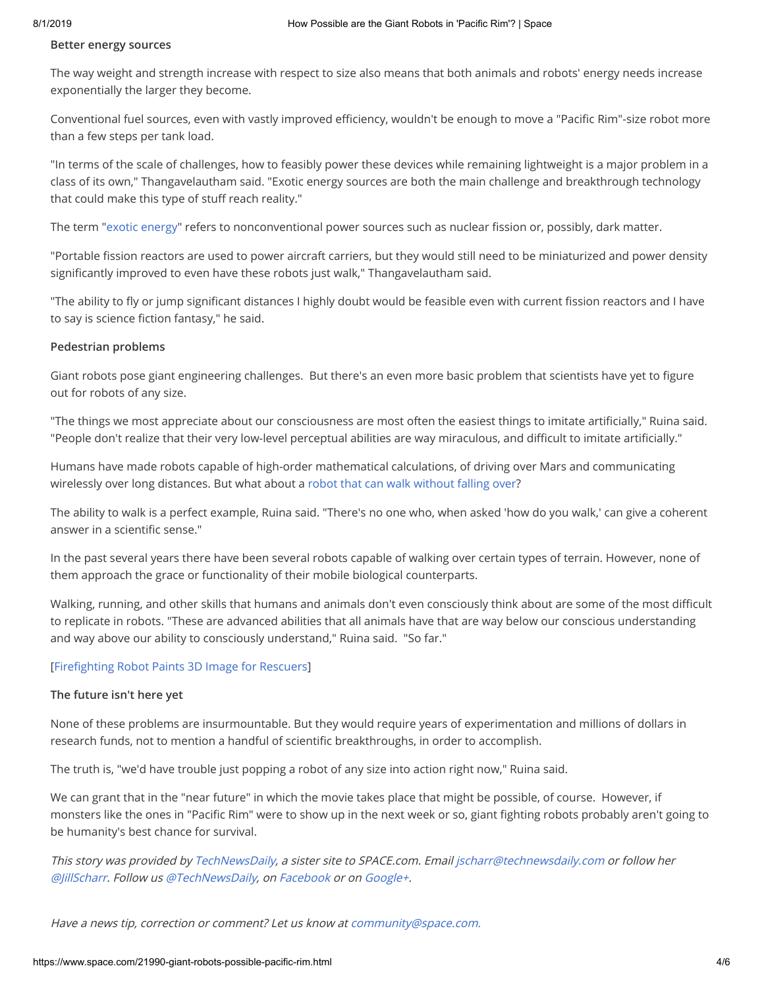#### **Better energy sources**

The way weight and strength increase with respect to size also means that both animals and robots' energy needs increase exponentially the larger they become.

Conventional fuel sources, even with vastly improved efficiency, wouldn't be enough to move a "Pacific Rim"-size robot more than a few steps per tank load.

"In terms of the scale of challenges, how to feasibly power these devices while remaining lightweight is a major problem in a class of its own," Thangavelautham said. "Exotic energy sources are both the main challenge and breakthrough technology that could make this type of stuff reach reality."

The term ["exotic energy](http://www.technewsdaily.com/11922-how-the-lhc-will-search-for-exotic-magnetic-particles.html)" refers to nonconventional power sources such as nuclear fission or, possibly, dark matter.

"Portable fission reactors are used to power aircraft carriers, but they would still need to be miniaturized and power density significantly improved to even have these robots just walk," Thangavelautham said.

"The ability to fly or jump significant distances I highly doubt would be feasible even with current fission reactors and I have to say is science fiction fantasy," he said.

#### **Pedestrian problems**

Giant robots pose giant engineering challenges. But there's an even more basic problem that scientists have yet to figure out for robots of any size.

"The things we most appreciate about our consciousness are most often the easiest things to imitate artificially," Ruina said. "People don't realize that their very low-level perceptual abilities are way miraculous, and difficult to imitate artificially."

Humans have made robots capable of high-order mathematical calculations, of driving over Mars and communicating wirelessly over long distances. But what about a [robot that can walk without falling over?](http://www.technewsdaily.com/56-new-6-legged-robot-walks-by-taming-chaos.html)

The ability to walk is a perfect example, Ruina said. "There's no one who, when asked 'how do you walk,' can give a coherent answer in a scientific sense."

In the past several years there have been several robots capable of walking over certain types of terrain. However, none of them approach the grace or functionality of their mobile biological counterparts.

Walking, running, and other skills that humans and animals don't even consciously think about are some of the most difficult to replicate in robots. "These are advanced abilities that all animals have that are way below our conscious understanding and way above our ability to consciously understand," Ruina said. "So far."

### [Firefighting Robot Paints 3D Image for Rescuers]

#### **The future isn't here yet**

None of these problems are insurmountable. But they would require years of experimentation and millions of dollars in research funds, not to mention a handful of scientific breakthroughs, in order to accomplish.

The truth is, "we'd have trouble just popping a robot of any size into action right now," Ruina said.

We can grant that in the "near future" in which the movie takes place that might be possible, of course. However, if monsters like the ones in "Pacific Rim" were to show up in the next week or so, giant fighting robots probably aren't going to be humanity's best chance for survival.

This story was provided by [TechNewsDaily,](https://www.space.com/www.TechNewsDaily.com) a sister site to SPACE.com. Email [jscharr@technewsdaily.com](mailto:jscharr@technewsdaily.com) or follow her [@JillScharr](https://twitter.com/JillScharr/). Follow us [@TechNewsDaily,](https://twitter.com/TechNewsDaily) on [Facebook](https://www.facebook.com/TechNewsDaily) or on [Google+](https://plus.google.com/100300602874158393473/posts).

Have a news tip, correction or comment? Let us know at [community@space.com.](mailto:community@space.com)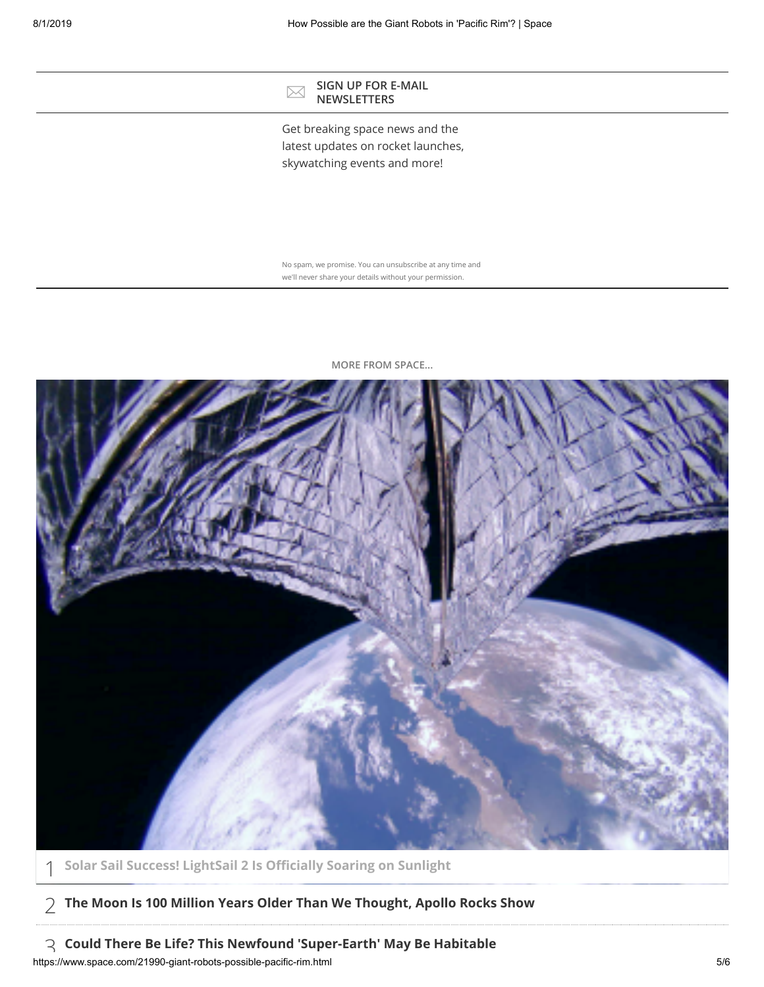#### SIGN UP FOR E-MAIL **NEWSLETTERS**

Get breaking space news and the latest updates on rocket launches, skywatching events and more!

No spam, we promise. You can unsubscribe at any time and we'll never share your details without your permission.



**MORE FROM SPACE...**

1 **[Solar Sail Success! LightSail 2 Is Ocially Soaring on Sunlight](https://www.space.com/lightsail-2-solar-sail-mission-success.html)**

# 2 **[The Moon Is 100 Million Years Older Than We Thought, Apollo Rocks Show](https://www.space.com/moon-older-than-thought-apollo-lunar-rocks.html)**

https://www.space.com/21990-giant-robots-possible-pacific-rim.html 5/6 3 **[Could There Be Life? This Newfound 'Super-Earth' May Be Habitable](https://www.space.com/super-earth-exoplanet-gj-357d-may-support-life.html)**